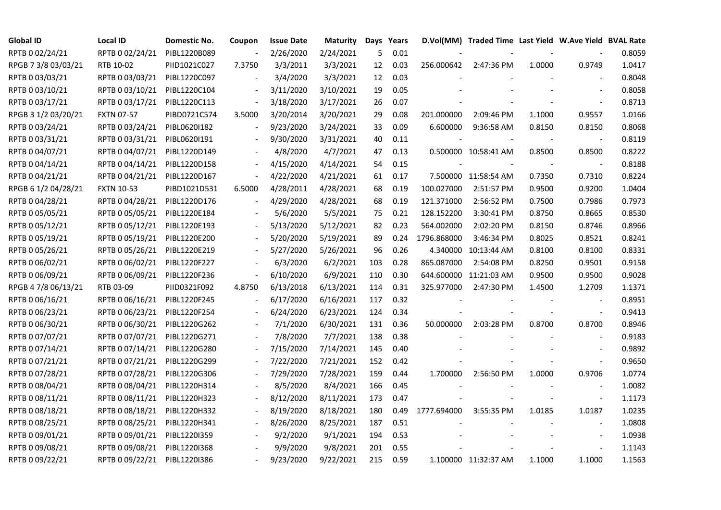| <b>Global ID</b>    | <b>Local ID</b>   | Domestic No. | Coupon                   | <b>Issue Date</b> | <b>Maturity</b> |     | Days Years |             | D.Vol(MM) Traded Time Last Yield W.Ave Yield BVAL Rate |        |                          |        |
|---------------------|-------------------|--------------|--------------------------|-------------------|-----------------|-----|------------|-------------|--------------------------------------------------------|--------|--------------------------|--------|
| RPTB 0 02/24/21     | RPTB 0 02/24/21   | PIBL1220B089 | $\overline{\phantom{a}}$ | 2/26/2020         | 2/24/2021       | 5   | 0.01       |             |                                                        |        |                          | 0.8059 |
| RPGB 7 3/8 03/03/21 | RTB 10-02         | PIID1021C027 | 7.3750                   | 3/3/2011          | 3/3/2021        | 12  | 0.03       | 256.000642  | 2:47:36 PM                                             | 1.0000 | 0.9749                   | 1.0417 |
| RPTB 0 03/03/21     | RPTB 0 03/03/21   | PIBL1220C097 |                          | 3/4/2020          | 3/3/2021        | 12  | 0.03       |             |                                                        |        |                          | 0.8048 |
| RPTB 0 03/10/21     | RPTB 0 03/10/21   | PIBL1220C104 | $\overline{\phantom{a}}$ | 3/11/2020         | 3/10/2021       | 19  | 0.05       |             |                                                        |        | $\blacksquare$           | 0.8058 |
| RPTB 0 03/17/21     | RPTB 0 03/17/21   | PIBL1220C113 | $\blacksquare$           | 3/18/2020         | 3/17/2021       | 26  | 0.07       |             |                                                        |        |                          | 0.8713 |
| RPGB 3 1/2 03/20/21 | <b>FXTN 07-57</b> | PIBD0721C574 | 3.5000                   | 3/20/2014         | 3/20/2021       | 29  | 0.08       | 201.000000  | 2:09:46 PM                                             | 1.1000 | 0.9557                   | 1.0166 |
| RPTB 0 03/24/21     | RPTB 0 03/24/21   | PIBL0620I182 |                          | 9/23/2020         | 3/24/2021       | 33  | 0.09       | 6.600000    | 9:36:58 AM                                             | 0.8150 | 0.8150                   | 0.8068 |
| RPTB 0 03/31/21     | RPTB 0 03/31/21   | PIBL0620I191 |                          | 9/30/2020         | 3/31/2021       | 40  | 0.11       |             |                                                        |        | $\overline{\phantom{a}}$ | 0.8119 |
| RPTB 0 04/07/21     | RPTB 0 04/07/21   | PIBL1220D149 |                          | 4/8/2020          | 4/7/2021        | 47  | 0.13       |             | 0.500000 10:58:41 AM                                   | 0.8500 | 0.8500                   | 0.8222 |
| RPTB 0 04/14/21     | RPTB 0 04/14/21   | PIBL1220D158 |                          | 4/15/2020         | 4/14/2021       | 54  | 0.15       |             |                                                        |        |                          | 0.8188 |
| RPTB 0 04/21/21     | RPTB 0 04/21/21   | PIBL1220D167 | $\frac{1}{2}$            | 4/22/2020         | 4/21/2021       | 61  | 0.17       |             | 7.500000 11:58:54 AM                                   | 0.7350 | 0.7310                   | 0.8224 |
| RPGB 6 1/2 04/28/21 | <b>FXTN 10-53</b> | PIBD1021D531 | 6.5000                   | 4/28/2011         | 4/28/2021       | 68  | 0.19       | 100.027000  | 2:51:57 PM                                             | 0.9500 | 0.9200                   | 1.0404 |
| RPTB 0 04/28/21     | RPTB 0 04/28/21   | PIBL1220D176 |                          | 4/29/2020         | 4/28/2021       | 68  | 0.19       | 121.371000  | 2:56:52 PM                                             | 0.7500 | 0.7986                   | 0.7973 |
| RPTB 0 05/05/21     | RPTB 0 05/05/21   | PIBL1220E184 |                          | 5/6/2020          | 5/5/2021        | 75  | 0.21       | 128.152200  | 3:30:41 PM                                             | 0.8750 | 0.8665                   | 0.8530 |
| RPTB 0 05/12/21     | RPTB 0 05/12/21   | PIBL1220E193 |                          | 5/13/2020         | 5/12/2021       | 82  | 0.23       | 564.002000  | 2:02:20 PM                                             | 0.8150 | 0.8746                   | 0.8966 |
| RPTB 0 05/19/21     | RPTB 0 05/19/21   | PIBL1220E200 |                          | 5/20/2020         | 5/19/2021       | 89  | 0.24       | 1796.868000 | 3:46:34 PM                                             | 0.8025 | 0.8521                   | 0.8241 |
| RPTB 0 05/26/21     | RPTB 0 05/26/21   | PIBL1220E219 |                          | 5/27/2020         | 5/26/2021       | 96  | 0.26       |             | 4.340000 10:13:44 AM                                   | 0.8100 | 0.8100                   | 0.8331 |
| RPTB 0 06/02/21     | RPTB 0 06/02/21   | PIBL1220F227 |                          | 6/3/2020          | 6/2/2021        | 103 | 0.28       | 865.087000  | 2:54:08 PM                                             | 0.8250 | 0.9501                   | 0.9158 |
| RPTB 0 06/09/21     | RPTB 0 06/09/21   | PIBL1220F236 | $\blacksquare$           | 6/10/2020         | 6/9/2021        | 110 | 0.30       |             | 644.600000 11:21:03 AM                                 | 0.9500 | 0.9500                   | 0.9028 |
| RPGB 4 7/8 06/13/21 | RTB 03-09         | PIID0321F092 | 4.8750                   | 6/13/2018         | 6/13/2021       | 114 | 0.31       | 325.977000  | 2:47:30 PM                                             | 1.4500 | 1.2709                   | 1.1371 |
| RPTB 0 06/16/21     | RPTB 0 06/16/21   | PIBL1220F245 |                          | 6/17/2020         | 6/16/2021       | 117 | 0.32       |             |                                                        |        | $\overline{\phantom{a}}$ | 0.8951 |
| RPTB 0 06/23/21     | RPTB 0 06/23/21   | PIBL1220F254 |                          | 6/24/2020         | 6/23/2021       | 124 | 0.34       |             |                                                        |        | $\overline{\phantom{a}}$ | 0.9413 |
| RPTB 0 06/30/21     | RPTB 0 06/30/21   | PIBL1220G262 |                          | 7/1/2020          | 6/30/2021       | 131 | 0.36       | 50.000000   | 2:03:28 PM                                             | 0.8700 | 0.8700                   | 0.8946 |
| RPTB 0 07/07/21     | RPTB 0 07/07/21   | PIBL1220G271 |                          | 7/8/2020          | 7/7/2021        | 138 | 0.38       |             |                                                        |        | $\overline{\phantom{a}}$ | 0.9183 |
| RPTB 0 07/14/21     | RPTB 0 07/14/21   | PIBL1220G280 | $\overline{\phantom{a}}$ | 7/15/2020         | 7/14/2021       | 145 | 0.40       |             |                                                        |        | $\blacksquare$           | 0.9892 |
| RPTB 0 07/21/21     | RPTB 0 07/21/21   | PIBL1220G299 |                          | 7/22/2020         | 7/21/2021       | 152 | 0.42       |             |                                                        |        | $\sim$                   | 0.9650 |
| RPTB 0 07/28/21     | RPTB 0 07/28/21   | PIBL1220G306 |                          | 7/29/2020         | 7/28/2021       | 159 | 0.44       | 1.700000    | 2:56:50 PM                                             | 1.0000 | 0.9706                   | 1.0774 |
| RPTB 0 08/04/21     | RPTB 0 08/04/21   | PIBL1220H314 |                          | 8/5/2020          | 8/4/2021        | 166 | 0.45       |             |                                                        |        | $\overline{\phantom{a}}$ | 1.0082 |
| RPTB 0 08/11/21     | RPTB 0 08/11/21   | PIBL1220H323 |                          | 8/12/2020         | 8/11/2021       | 173 | 0.47       |             |                                                        |        | $\overline{\phantom{a}}$ | 1.1173 |
| RPTB 0 08/18/21     | RPTB 0 08/18/21   | PIBL1220H332 |                          | 8/19/2020         | 8/18/2021       | 180 | 0.49       | 1777.694000 | 3:55:35 PM                                             | 1.0185 | 1.0187                   | 1.0235 |
| RPTB 0 08/25/21     | RPTB 0 08/25/21   | PIBL1220H341 |                          | 8/26/2020         | 8/25/2021       | 187 | 0.51       |             |                                                        |        | $\overline{\phantom{a}}$ | 1.0808 |
| RPTB 0 09/01/21     | RPTB 0 09/01/21   | PIBL1220I359 |                          | 9/2/2020          | 9/1/2021        | 194 | 0.53       |             |                                                        |        |                          | 1.0938 |
| RPTB 0 09/08/21     | RPTB 0 09/08/21   | PIBL1220I368 |                          | 9/9/2020          | 9/8/2021        | 201 | 0.55       |             |                                                        |        |                          | 1.1143 |
| RPTB 0 09/22/21     | RPTB 0 09/22/21   | PIBL1220I386 |                          | 9/23/2020         | 9/22/2021       | 215 | 0.59       |             | 1.100000 11:32:37 AM                                   | 1.1000 | 1.1000                   | 1.1563 |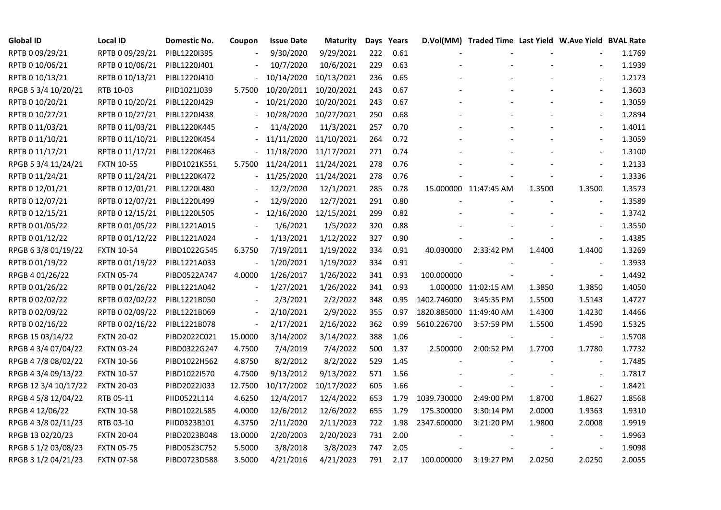| <b>Global ID</b>     | <b>Local ID</b>   | Domestic No. | Coupon                   | <b>Issue Date</b> | <b>Maturity</b> |     | Days Years |                         | D.Vol(MM) Traded Time Last Yield W.Ave Yield BVAL Rate |        |                          |        |
|----------------------|-------------------|--------------|--------------------------|-------------------|-----------------|-----|------------|-------------------------|--------------------------------------------------------|--------|--------------------------|--------|
| RPTB 0 09/29/21      | RPTB 0 09/29/21   | PIBL12201395 |                          | 9/30/2020         | 9/29/2021       | 222 | 0.61       |                         |                                                        |        |                          | 1.1769 |
| RPTB 0 10/06/21      | RPTB 0 10/06/21   | PIBL1220J401 |                          | 10/7/2020         | 10/6/2021       | 229 | 0.63       |                         |                                                        |        |                          | 1.1939 |
| RPTB 0 10/13/21      | RPTB 0 10/13/21   | PIBL1220J410 |                          | 10/14/2020        | 10/13/2021      | 236 | 0.65       |                         |                                                        |        | $\overline{\phantom{a}}$ | 1.2173 |
| RPGB 5 3/4 10/20/21  | RTB 10-03         | PIID1021J039 | 5.7500                   | 10/20/2011        | 10/20/2021      | 243 | 0.67       |                         |                                                        |        | $\blacksquare$           | 1.3603 |
| RPTB 0 10/20/21      | RPTB 0 10/20/21   | PIBL1220J429 | $\overline{\phantom{0}}$ | 10/21/2020        | 10/20/2021      | 243 | 0.67       |                         |                                                        |        |                          | 1.3059 |
| RPTB 0 10/27/21      | RPTB 0 10/27/21   | PIBL1220J438 |                          | 10/28/2020        | 10/27/2021      | 250 | 0.68       |                         |                                                        |        | $\overline{\phantom{a}}$ | 1.2894 |
| RPTB 0 11/03/21      | RPTB 0 11/03/21   | PIBL1220K445 |                          | 11/4/2020         | 11/3/2021       | 257 | 0.70       |                         |                                                        |        | $\overline{\phantom{a}}$ | 1.4011 |
| RPTB 0 11/10/21      | RPTB 0 11/10/21   | PIBL1220K454 |                          | 11/11/2020        | 11/10/2021      | 264 | 0.72       |                         |                                                        |        | $\overline{\phantom{a}}$ | 1.3059 |
| RPTB 0 11/17/21      | RPTB 0 11/17/21   | PIBL1220K463 |                          | 11/18/2020        | 11/17/2021      | 271 | 0.74       |                         |                                                        |        |                          | 1.3100 |
| RPGB 5 3/4 11/24/21  | <b>FXTN 10-55</b> | PIBD1021K551 | 5.7500                   | 11/24/2011        | 11/24/2021      | 278 | 0.76       |                         |                                                        |        | $\overline{\phantom{a}}$ | 1.2133 |
| RPTB 0 11/24/21      | RPTB 0 11/24/21   | PIBL1220K472 | $\overline{\phantom{0}}$ | 11/25/2020        | 11/24/2021      | 278 | 0.76       |                         |                                                        |        | $\blacksquare$           | 1.3336 |
| RPTB 0 12/01/21      | RPTB 0 12/01/21   | PIBL1220L480 |                          | 12/2/2020         | 12/1/2021       | 285 | 0.78       |                         | 15.000000 11:47:45 AM                                  | 1.3500 | 1.3500                   | 1.3573 |
| RPTB 0 12/07/21      | RPTB 0 12/07/21   | PIBL1220L499 |                          | 12/9/2020         | 12/7/2021       | 291 | 0.80       |                         |                                                        |        | $\sim$                   | 1.3589 |
| RPTB 0 12/15/21      | RPTB 0 12/15/21   | PIBL1220L505 |                          | 12/16/2020        | 12/15/2021      | 299 | 0.82       |                         |                                                        |        | $\overline{\phantom{a}}$ | 1.3742 |
| RPTB 0 01/05/22      | RPTB 0 01/05/22   | PIBL1221A015 |                          | 1/6/2021          | 1/5/2022        | 320 | 0.88       |                         |                                                        |        | $\frac{1}{2}$            | 1.3550 |
| RPTB 0 01/12/22      | RPTB 0 01/12/22   | PIBL1221A024 |                          | 1/13/2021         | 1/12/2022       | 327 | 0.90       |                         |                                                        |        |                          | 1.4385 |
| RPGB 63/8 01/19/22   | <b>FXTN 10-54</b> | PIBD1022G545 | 6.3750                   | 7/19/2011         | 1/19/2022       | 334 | 0.91       | 40.030000               | 2:33:42 PM                                             | 1.4400 | 1.4400                   | 1.3269 |
| RPTB 0 01/19/22      | RPTB 0 01/19/22   | PIBL1221A033 |                          | 1/20/2021         | 1/19/2022       | 334 | 0.91       |                         |                                                        |        | $\overline{\phantom{a}}$ | 1.3933 |
| RPGB 4 01/26/22      | <b>FXTN 05-74</b> | PIBD0522A747 | 4.0000                   | 1/26/2017         | 1/26/2022       | 341 | 0.93       | 100.000000              |                                                        |        |                          | 1.4492 |
| RPTB 0 01/26/22      | RPTB 0 01/26/22   | PIBL1221A042 |                          | 1/27/2021         | 1/26/2022       | 341 | 0.93       |                         | 1.000000 11:02:15 AM                                   | 1.3850 | 1.3850                   | 1.4050 |
| RPTB 0 02/02/22      | RPTB 0 02/02/22   | PIBL1221B050 |                          | 2/3/2021          | 2/2/2022        | 348 | 0.95       | 1402.746000             | 3:45:35 PM                                             | 1.5500 | 1.5143                   | 1.4727 |
| RPTB 0 02/09/22      | RPTB 0 02/09/22   | PIBL1221B069 |                          | 2/10/2021         | 2/9/2022        | 355 | 0.97       | 1820.885000 11:49:40 AM |                                                        | 1.4300 | 1.4230                   | 1.4466 |
| RPTB 0 02/16/22      | RPTB 0 02/16/22   | PIBL1221B078 | $\frac{1}{2}$            | 2/17/2021         | 2/16/2022       | 362 | 0.99       | 5610.226700             | 3:57:59 PM                                             | 1.5500 | 1.4590                   | 1.5325 |
| RPGB 15 03/14/22     | <b>FXTN 20-02</b> | PIBD2022C021 | 15.0000                  | 3/14/2002         | 3/14/2022       | 388 | 1.06       |                         |                                                        |        |                          | 1.5708 |
| RPGB 4 3/4 07/04/22  | <b>FXTN 03-24</b> | PIBD0322G247 | 4.7500                   | 7/4/2019          | 7/4/2022        | 500 | 1.37       | 2.500000                | 2:00:52 PM                                             | 1.7700 | 1.7780                   | 1.7732 |
| RPGB 4 7/8 08/02/22  | <b>FXTN 10-56</b> | PIBD1022H562 | 4.8750                   | 8/2/2012          | 8/2/2022        | 529 | 1.45       |                         |                                                        |        |                          | 1.7485 |
| RPGB 4 3/4 09/13/22  | <b>FXTN 10-57</b> | PIBD1022I570 | 4.7500                   | 9/13/2012         | 9/13/2022       | 571 | 1.56       |                         |                                                        |        | $\blacksquare$           | 1.7817 |
| RPGB 12 3/4 10/17/22 | <b>FXTN 20-03</b> | PIBD2022J033 | 12.7500                  | 10/17/2002        | 10/17/2022      | 605 | 1.66       |                         |                                                        |        | $\blacksquare$           | 1.8421 |
| RPGB 4 5/8 12/04/22  | RTB 05-11         | PIID0522L114 | 4.6250                   | 12/4/2017         | 12/4/2022       | 653 | 1.79       | 1039.730000             | 2:49:00 PM                                             | 1.8700 | 1.8627                   | 1.8568 |
| RPGB 4 12/06/22      | <b>FXTN 10-58</b> | PIBD1022L585 | 4.0000                   | 12/6/2012         | 12/6/2022       | 655 | 1.79       | 175.300000              | 3:30:14 PM                                             | 2.0000 | 1.9363                   | 1.9310 |
| RPGB 4 3/8 02/11/23  | RTB 03-10         | PIID0323B101 | 4.3750                   | 2/11/2020         | 2/11/2023       | 722 | 1.98       | 2347.600000             | 3:21:20 PM                                             | 1.9800 | 2.0008                   | 1.9919 |
| RPGB 13 02/20/23     | <b>FXTN 20-04</b> | PIBD2023B048 | 13.0000                  | 2/20/2003         | 2/20/2023       | 731 | 2.00       |                         |                                                        |        |                          | 1.9963 |
| RPGB 5 1/2 03/08/23  | <b>FXTN 05-75</b> | PIBD0523C752 | 5.5000                   | 3/8/2018          | 3/8/2023        | 747 | 2.05       |                         |                                                        |        |                          | 1.9098 |
| RPGB 3 1/2 04/21/23  | <b>FXTN 07-58</b> | PIBD0723D588 | 3.5000                   | 4/21/2016         | 4/21/2023       | 791 | 2.17       | 100.000000              | 3:19:27 PM                                             | 2.0250 | 2.0250                   | 2.0055 |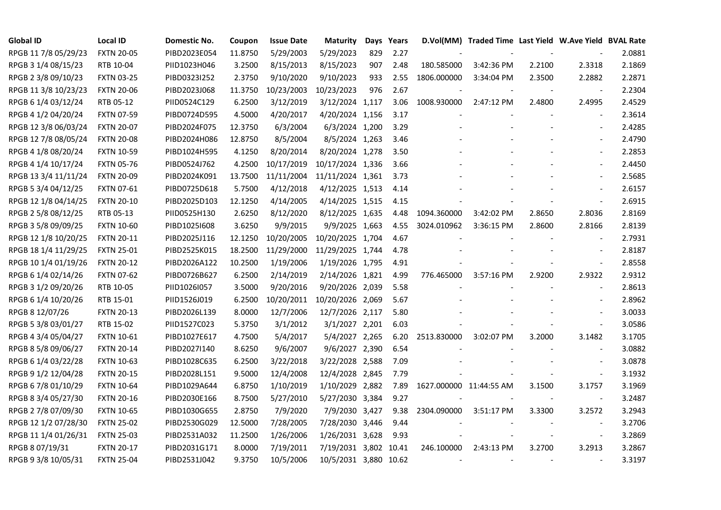| <b>Global ID</b>     | <b>Local ID</b>   | Domestic No. | Coupon  | <b>Issue Date</b> | <b>Maturity</b>       |     | Days Years |                         | D.Vol(MM) Traded Time Last Yield W.Ave Yield BVAL Rate |        |                          |        |
|----------------------|-------------------|--------------|---------|-------------------|-----------------------|-----|------------|-------------------------|--------------------------------------------------------|--------|--------------------------|--------|
| RPGB 11 7/8 05/29/23 | <b>FXTN 20-05</b> | PIBD2023E054 | 11.8750 | 5/29/2003         | 5/29/2023             | 829 | 2.27       |                         |                                                        |        |                          | 2.0881 |
| RPGB 3 1/4 08/15/23  | RTB 10-04         | PIID1023H046 | 3.2500  | 8/15/2013         | 8/15/2023             | 907 | 2.48       | 180.585000              | 3:42:36 PM                                             | 2.2100 | 2.3318                   | 2.1869 |
| RPGB 2 3/8 09/10/23  | <b>FXTN 03-25</b> | PIBD0323I252 | 2.3750  | 9/10/2020         | 9/10/2023             | 933 | 2.55       | 1806.000000             | 3:34:04 PM                                             | 2.3500 | 2.2882                   | 2.2871 |
| RPGB 11 3/8 10/23/23 | <b>FXTN 20-06</b> | PIBD2023J068 | 11.3750 | 10/23/2003        | 10/23/2023            | 976 | 2.67       |                         |                                                        |        | $\overline{\phantom{a}}$ | 2.2304 |
| RPGB 6 1/4 03/12/24  | RTB 05-12         | PIID0524C129 | 6.2500  | 3/12/2019         | 3/12/2024 1,117       |     | 3.06       | 1008.930000             | 2:47:12 PM                                             | 2.4800 | 2.4995                   | 2.4529 |
| RPGB 4 1/2 04/20/24  | <b>FXTN 07-59</b> | PIBD0724D595 | 4.5000  | 4/20/2017         | 4/20/2024 1,156       |     | 3.17       |                         |                                                        |        | $\blacksquare$           | 2.3614 |
| RPGB 12 3/8 06/03/24 | <b>FXTN 20-07</b> | PIBD2024F075 | 12.3750 | 6/3/2004          | 6/3/2024 1,200        |     | 3.29       |                         |                                                        |        | $\overline{\phantom{a}}$ | 2.4285 |
| RPGB 12 7/8 08/05/24 | <b>FXTN 20-08</b> | PIBD2024H086 | 12.8750 | 8/5/2004          | 8/5/2024 1,263        |     | 3.46       |                         |                                                        |        | $\overline{\phantom{a}}$ | 2.4790 |
| RPGB 4 1/8 08/20/24  | <b>FXTN 10-59</b> | PIBD1024H595 | 4.1250  | 8/20/2014         | 8/20/2024 1,278       |     | 3.50       |                         |                                                        |        |                          | 2.2853 |
| RPGB 4 1/4 10/17/24  | <b>FXTN 05-76</b> | PIBD0524J762 | 4.2500  | 10/17/2019        | 10/17/2024 1,336      |     | 3.66       |                         |                                                        |        | $\blacksquare$           | 2.4450 |
| RPGB 13 3/4 11/11/24 | <b>FXTN 20-09</b> | PIBD2024K091 | 13.7500 | 11/11/2004        | 11/11/2024 1,361      |     | 3.73       |                         |                                                        |        | $\blacksquare$           | 2.5685 |
| RPGB 5 3/4 04/12/25  | FXTN 07-61        | PIBD0725D618 | 5.7500  | 4/12/2018         | 4/12/2025 1,513       |     | 4.14       |                         |                                                        |        | $\sim$                   | 2.6157 |
| RPGB 12 1/8 04/14/25 | <b>FXTN 20-10</b> | PIBD2025D103 | 12.1250 | 4/14/2005         | 4/14/2025 1,515       |     | 4.15       |                         |                                                        |        | $\overline{a}$           | 2.6915 |
| RPGB 2 5/8 08/12/25  | RTB 05-13         | PIID0525H130 | 2.6250  | 8/12/2020         | 8/12/2025 1,635       |     | 4.48       | 1094.360000             | 3:42:02 PM                                             | 2.8650 | 2.8036                   | 2.8169 |
| RPGB 3 5/8 09/09/25  | <b>FXTN 10-60</b> | PIBD10251608 | 3.6250  | 9/9/2015          | 9/9/2025 1,663        |     | 4.55       | 3024.010962             | 3:36:15 PM                                             | 2.8600 | 2.8166                   | 2.8139 |
| RPGB 12 1/8 10/20/25 | <b>FXTN 20-11</b> | PIBD2025J116 | 12.1250 | 10/20/2005        | 10/20/2025 1,704      |     | 4.67       |                         |                                                        |        |                          | 2.7931 |
| RPGB 18 1/4 11/29/25 | <b>FXTN 25-01</b> | PIBD2525K015 | 18.2500 | 11/29/2000        | 11/29/2025 1,744      |     | 4.78       |                         |                                                        |        | $\overline{\phantom{a}}$ | 2.8187 |
| RPGB 10 1/4 01/19/26 | <b>FXTN 20-12</b> | PIBD2026A122 | 10.2500 | 1/19/2006         | 1/19/2026 1,795       |     | 4.91       |                         |                                                        |        | $\overline{\phantom{a}}$ | 2.8558 |
| RPGB 6 1/4 02/14/26  | <b>FXTN 07-62</b> | PIBD0726B627 | 6.2500  | 2/14/2019         | 2/14/2026 1,821       |     | 4.99       | 776.465000              | 3:57:16 PM                                             | 2.9200 | 2.9322                   | 2.9312 |
| RPGB 3 1/2 09/20/26  | RTB 10-05         | PIID1026I057 | 3.5000  | 9/20/2016         | 9/20/2026 2,039       |     | 5.58       |                         |                                                        |        | $\sim$                   | 2.8613 |
| RPGB 6 1/4 10/20/26  | RTB 15-01         | PIID1526J019 | 6.2500  | 10/20/2011        | 10/20/2026 2,069      |     | 5.67       |                         |                                                        |        | $\sim$                   | 2.8962 |
| RPGB 8 12/07/26      | <b>FXTN 20-13</b> | PIBD2026L139 | 8.0000  | 12/7/2006         | 12/7/2026 2,117       |     | 5.80       |                         |                                                        |        | $\overline{\phantom{a}}$ | 3.0033 |
| RPGB 5 3/8 03/01/27  | RTB 15-02         | PIID1527C023 | 5.3750  | 3/1/2012          | 3/1/2027 2,201        |     | 6.03       |                         |                                                        |        | $\blacksquare$           | 3.0586 |
| RPGB 4 3/4 05/04/27  | <b>FXTN 10-61</b> | PIBD1027E617 | 4.7500  | 5/4/2017          | 5/4/2027 2,265        |     | 6.20       | 2513.830000             | 3:02:07 PM                                             | 3.2000 | 3.1482                   | 3.1705 |
| RPGB 8 5/8 09/06/27  | <b>FXTN 20-14</b> | PIBD2027I140 | 8.6250  | 9/6/2007          | 9/6/2027 2,390        |     | 6.54       |                         |                                                        |        | $\blacksquare$           | 3.0882 |
| RPGB 6 1/4 03/22/28  | <b>FXTN 10-63</b> | PIBD1028C635 | 6.2500  | 3/22/2018         | 3/22/2028 2,588       |     | 7.09       |                         |                                                        |        | $\sim$                   | 3.0878 |
| RPGB 9 1/2 12/04/28  | <b>FXTN 20-15</b> | PIBD2028L151 | 9.5000  | 12/4/2008         | 12/4/2028 2,845       |     | 7.79       |                         |                                                        |        | $\sim$                   | 3.1932 |
| RPGB 67/8 01/10/29   | <b>FXTN 10-64</b> | PIBD1029A644 | 6.8750  | 1/10/2019         | 1/10/2029 2,882       |     | 7.89       | 1627.000000 11:44:55 AM |                                                        | 3.1500 | 3.1757                   | 3.1969 |
| RPGB 8 3/4 05/27/30  | <b>FXTN 20-16</b> | PIBD2030E166 | 8.7500  | 5/27/2010         | 5/27/2030 3,384       |     | 9.27       |                         |                                                        |        | $\overline{\phantom{a}}$ | 3.2487 |
| RPGB 2 7/8 07/09/30  | <b>FXTN 10-65</b> | PIBD1030G655 | 2.8750  | 7/9/2020          | 7/9/2030 3,427        |     | 9.38       | 2304.090000             | 3:51:17 PM                                             | 3.3300 | 3.2572                   | 3.2943 |
| RPGB 12 1/2 07/28/30 | <b>FXTN 25-02</b> | PIBD2530G029 | 12.5000 | 7/28/2005         | 7/28/2030 3,446       |     | 9.44       |                         |                                                        |        | $\overline{\phantom{a}}$ | 3.2706 |
| RPGB 11 1/4 01/26/31 | <b>FXTN 25-03</b> | PIBD2531A032 | 11.2500 | 1/26/2006         | 1/26/2031 3,628       |     | 9.93       |                         |                                                        |        | $\overline{\phantom{a}}$ | 3.2869 |
| RPGB 8 07/19/31      | <b>FXTN 20-17</b> | PIBD2031G171 | 8.0000  | 7/19/2011         | 7/19/2031 3,802 10.41 |     |            | 246.100000              | 2:43:13 PM                                             | 3.2700 | 3.2913                   | 3.2867 |
| RPGB 9 3/8 10/05/31  | <b>FXTN 25-04</b> | PIBD2531J042 | 9.3750  | 10/5/2006         | 10/5/2031 3,880 10.62 |     |            |                         |                                                        |        |                          | 3.3197 |